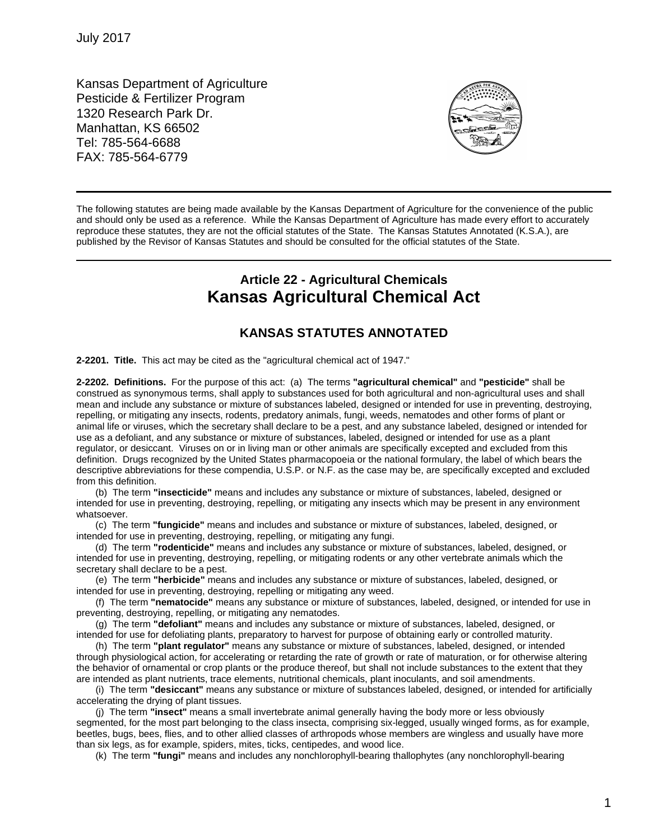Kansas Department of Agriculture Pesticide & Fertilizer Program 1320 Research Park Dr. Manhattan, KS 66502 Tel: 785-564-6688 FAX: 785-564-6779



The following statutes are being made available by the Kansas Department of Agriculture for the convenience of the public and should only be used as a reference. While the Kansas Department of Agriculture has made every effort to accurately reproduce these statutes, they are not the official statutes of the State. The Kansas Statutes Annotated (K.S.A.), are published by the Revisor of Kansas Statutes and should be consulted for the official statutes of the State.

## **Article 22 - Agricultural Chemicals Kansas Agricultural Chemical Act**

## **KANSAS STATUTES ANNOTATED**

**2-2201. Title.** This act may be cited as the "agricultural chemical act of 1947."

**2-2202. Definitions.** For the purpose of this act:(a) The terms **"agricultural chemical"** and **"pesticide"** shall be construed as synonymous terms, shall apply to substances used for both agricultural and non-agricultural uses and shall mean and include any substance or mixture of substances labeled, designed or intended for use in preventing, destroying, repelling, or mitigating any insects, rodents, predatory animals, fungi, weeds, nematodes and other forms of plant or animal life or viruses, which the secretary shall declare to be a pest, and any substance labeled, designed or intended for use as a defoliant, and any substance or mixture of substances, labeled, designed or intended for use as a plant regulator, or desiccant. Viruses on or in living man or other animals are specifically excepted and excluded from this definition. Drugs recognized by the United States pharmacopoeia or the national formulary, the label of which bears the descriptive abbreviations for these compendia, U.S.P. or N.F. as the case may be, are specifically excepted and excluded from this definition.

(b) The term **"insecticide"** means and includes any substance or mixture of substances, labeled, designed or intended for use in preventing, destroying, repelling, or mitigating any insects which may be present in any environment whatsoever.

(c) The term **"fungicide"** means and includes and substance or mixture of substances, labeled, designed, or intended for use in preventing, destroying, repelling, or mitigating any fungi.

(d) The term **"rodenticide"** means and includes any substance or mixture of substances, labeled, designed, or intended for use in preventing, destroying, repelling, or mitigating rodents or any other vertebrate animals which the secretary shall declare to be a pest.

(e) The term **"herbicide"** means and includes any substance or mixture of substances, labeled, designed, or intended for use in preventing, destroying, repelling or mitigating any weed.

(f) The term **"nematocide"** means any substance or mixture of substances, labeled, designed, or intended for use in preventing, destroying, repelling, or mitigating any nematodes.

(g) The term **"defoliant"** means and includes any substance or mixture of substances, labeled, designed, or intended for use for defoliating plants, preparatory to harvest for purpose of obtaining early or controlled maturity.

(h) The term **"plant regulator"** means any substance or mixture of substances, labeled, designed, or intended through physiological action, for accelerating or retarding the rate of growth or rate of maturation, or for otherwise altering the behavior of ornamental or crop plants or the produce thereof, but shall not include substances to the extent that they are intended as plant nutrients, trace elements, nutritional chemicals, plant inoculants, and soil amendments.

(i)The term **"desiccant"** means any substance or mixture of substances labeled, designed, or intended for artificially accelerating the drying of plant tissues.

(j)The term **"insect"** means a small invertebrate animal generally having the body more or less obviously segmented, for the most part belonging to the class insecta, comprising six-legged, usually winged forms, as for example, beetles, bugs, bees, flies, and to other allied classes of arthropods whose members are wingless and usually have more than six legs, as for example, spiders, mites, ticks, centipedes, and wood lice.

(k) The term **"fungi"** means and includes any nonchlorophyll-bearing thallophytes (any nonchlorophyll-bearing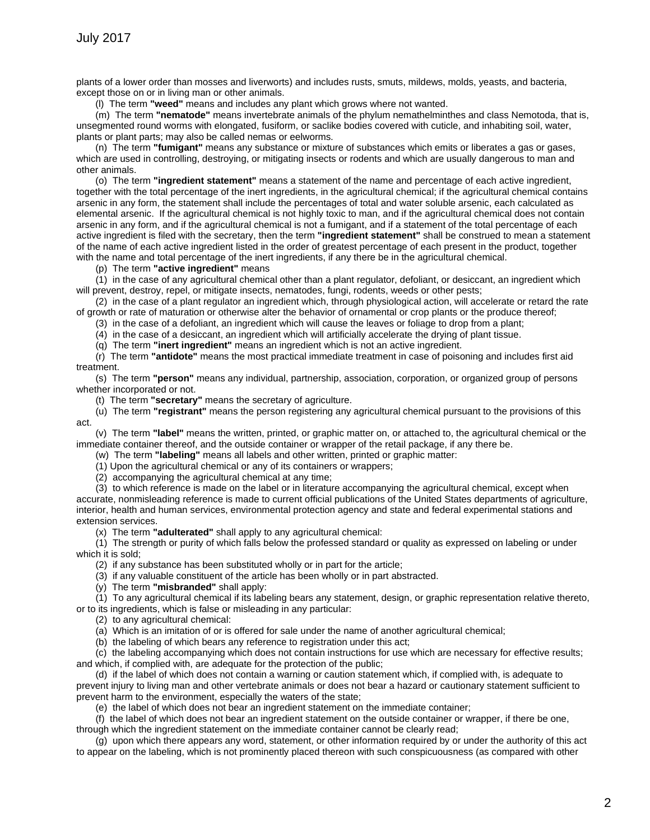plants of a lower order than mosses and liverworts) and includes rusts, smuts, mildews, molds, yeasts, and bacteria, except those on or in living man or other animals.

(l) The term **"weed"** means and includes any plant which grows where not wanted.

(m) The term **"nematode"** means invertebrate animals of the phylum nemathelminthes and class Nemotoda, that is, unsegmented round worms with elongated, fusiform, or saclike bodies covered with cuticle, and inhabiting soil, water, plants or plant parts; may also be called nemas or eelworms.

(n) The term **"fumigant"** means any substance or mixture of substances which emits or liberates a gas or gases, which are used in controlling, destroying, or mitigating insects or rodents and which are usually dangerous to man and other animals.

(o) The term **"ingredient statement"** means a statement of the name and percentage of each active ingredient, together with the total percentage of the inert ingredients, in the agricultural chemical; if the agricultural chemical contains arsenic in any form, the statement shall include the percentages of total and water soluble arsenic, each calculated as elemental arsenic. If the agricultural chemical is not highly toxic to man, and if the agricultural chemical does not contain arsenic in any form, and if the agricultural chemical is not a fumigant, and if a statement of the total percentage of each active ingredient is filed with the secretary, then the term **"ingredient statement"** shall be construed to mean a statement of the name of each active ingredient listed in the order of greatest percentage of each present in the product, together with the name and total percentage of the inert ingredients, if any there be in the agricultural chemical.

(p) The term **"active ingredient"** means

(1) in the case of any agricultural chemical other than a plant regulator, defoliant, or desiccant, an ingredient which will prevent, destroy, repel, or mitigate insects, nematodes, fungi, rodents, weeds or other pests;

(2) in the case of a plant regulator an ingredient which, through physiological action, will accelerate or retard the rate of growth or rate of maturation or otherwise alter the behavior of ornamental or crop plants or the produce thereof;

(3) in the case of a defoliant, an ingredient which will cause the leaves or foliage to drop from a plant;

(4) in the case of a desiccant, an ingredient which will artificially accelerate the drying of plant tissue.

(q) The term **"inert ingredient"** means an ingredient which is not an active ingredient.

(r) The term **"antidote"** means the most practical immediate treatment in case of poisoning and includes first aid treatment.

(s) The term **"person"** means any individual, partnership, association, corporation, or organized group of persons whether incorporated or not.

(t)The term **"secretary"** means the secretary of agriculture.

(u) The term **"registrant"** means the person registering any agricultural chemical pursuant to the provisions of this act.

(v) The term **"label"** means the written, printed, or graphic matter on, or attached to, the agricultural chemical or the immediate container thereof, and the outside container or wrapper of the retail package, if any there be.

(w) The term **"labeling"** means all labels and other written, printed or graphic matter:

(1) Upon the agricultural chemical or any of its containers or wrappers;

(2) accompanying the agricultural chemical at any time;

(3)to which reference is made on the label or in literature accompanying the agricultural chemical, except when accurate, nonmisleading reference is made to current official publications of the United States departments of agriculture, interior, health and human services, environmental protection agency and state and federal experimental stations and extension services.

(x) The term **"adulterated"** shall apply to any agricultural chemical:

(1) The strength or purity of which falls below the professed standard or quality as expressed on labeling or under which it is sold;

(2) if any substance has been substituted wholly or in part for the article;

(3) if any valuable constituent of the article has been wholly or in part abstracted.

(y) The term **"misbranded"** shall apply:

(1) To any agricultural chemical if its labeling bears any statement, design, or graphic representation relative thereto, or to its ingredients, which is false or misleading in any particular:

(2) to any agricultural chemical:

(a) Which is an imitation of or is offered for sale under the name of another agricultural chemical;

(b) the labeling of which bears any reference to registration under this act;

(c) the labeling accompanying which does not contain instructions for use which are necessary for effective results; and which, if complied with, are adequate for the protection of the public;

(d) if the label of which does not contain a warning or caution statement which, if complied with, is adequate to prevent injury to living man and other vertebrate animals or does not bear a hazard or cautionary statement sufficient to prevent harm to the environment, especially the waters of the state;

(e) the label of which does not bear an ingredient statement on the immediate container;

(f) the label of which does not bear an ingredient statement on the outside container or wrapper, if there be one, through which the ingredient statement on the immediate container cannot be clearly read;

(g) upon which there appears any word, statement, or other information required by or under the authority of this act to appear on the labeling, which is not prominently placed thereon with such conspicuousness (as compared with other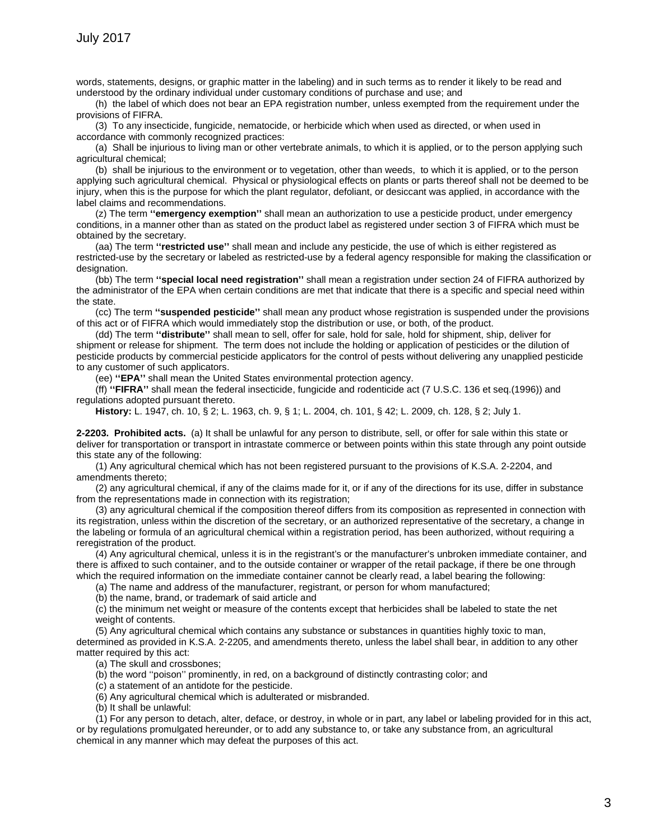words, statements, designs, or graphic matter in the labeling) and in such terms as to render it likely to be read and understood by the ordinary individual under customary conditions of purchase and use; and

(h) the label of which does not bear an EPA registration number, unless exempted from the requirement under the provisions of FIFRA.

(3) To any insecticide, fungicide, nematocide, or herbicide which when used as directed, or when used in accordance with commonly recognized practices:

(a) Shall be injurious to living man or other vertebrate animals, to which it is applied, or to the person applying such agricultural chemical;

(b) shall be injurious to the environment or to vegetation, other than weeds, to which it is applied, or to the person applying such agricultural chemical. Physical or physiological effects on plants or parts thereof shall not be deemed to be injury, when this is the purpose for which the plant regulator, defoliant, or desiccant was applied, in accordance with the label claims and recommendations.

(z) The term **''emergency exemption''** shall mean an authorization to use a pesticide product, under emergency conditions, in a manner other than as stated on the product label as registered under section 3 of FIFRA which must be obtained by the secretary.

(aa) The term **''restricted use''** shall mean and include any pesticide, the use of which is either registered as restricted-use by the secretary or labeled as restricted-use by a federal agency responsible for making the classification or designation.

(bb) The term **''special local need registration''** shall mean a registration under section 24 of FIFRA authorized by the administrator of the EPA when certain conditions are met that indicate that there is a specific and special need within the state.

(cc) The term **''suspended pesticide''** shall mean any product whose registration is suspended under the provisions of this act or of FIFRA which would immediately stop the distribution or use, or both, of the product.

(dd) The term **''distribute''** shall mean to sell, offer for sale, hold for sale, hold for shipment, ship, deliver for shipment or release for shipment. The term does not include the holding or application of pesticides or the dilution of pesticide products by commercial pesticide applicators for the control of pests without delivering any unapplied pesticide to any customer of such applicators.

(ee) **''EPA''** shall mean the United States environmental protection agency.

(ff) **''FIFRA''** shall mean the federal insecticide, fungicide and rodenticide act (7 U.S.C. 136 et seq.(1996)) and regulations adopted pursuant thereto.

**History:** L. 1947, ch. 10, § 2; L. 1963, ch. 9, § 1; L. 2004, ch. 101, § 42; L. 2009, ch. 128, § 2; July 1.

**2-2203. Prohibited acts.** (a) It shall be unlawful for any person to distribute, sell, or offer for sale within this state or deliver for transportation or transport in intrastate commerce or between points within this state through any point outside this state any of the following:

(1) Any agricultural chemical which has not been registered pursuant to the provisions of K.S.A. 2-2204, and amendments thereto;

(2) any agricultural chemical, if any of the claims made for it, or if any of the directions for its use, differ in substance from the representations made in connection with its registration;

(3) any agricultural chemical if the composition thereof differs from its composition as represented in connection with its registration, unless within the discretion of the secretary, or an authorized representative of the secretary, a change in the labeling or formula of an agricultural chemical within a registration period, has been authorized, without requiring a reregistration of the product.

(4) Any agricultural chemical, unless it is in the registrant's or the manufacturer's unbroken immediate container, and there is affixed to such container, and to the outside container or wrapper of the retail package, if there be one through which the required information on the immediate container cannot be clearly read, a label bearing the following:

(a) The name and address of the manufacturer, registrant, or person for whom manufactured;

(b) the name, brand, or trademark of said article and

(c) the minimum net weight or measure of the contents except that herbicides shall be labeled to state the net weight of contents.

(5) Any agricultural chemical which contains any substance or substances in quantities highly toxic to man, determined as provided in K.S.A. 2-2205, and amendments thereto, unless the label shall bear, in addition to any other matter required by this act:

(a) The skull and crossbones;

(b) the word ''poison'' prominently, in red, on a background of distinctly contrasting color; and

(c) a statement of an antidote for the pesticide.

(6) Any agricultural chemical which is adulterated or misbranded.

(b) It shall be unlawful:

(1) For any person to detach, alter, deface, or destroy, in whole or in part, any label or labeling provided for in this act, or by regulations promulgated hereunder, or to add any substance to, or take any substance from, an agricultural chemical in any manner which may defeat the purposes of this act.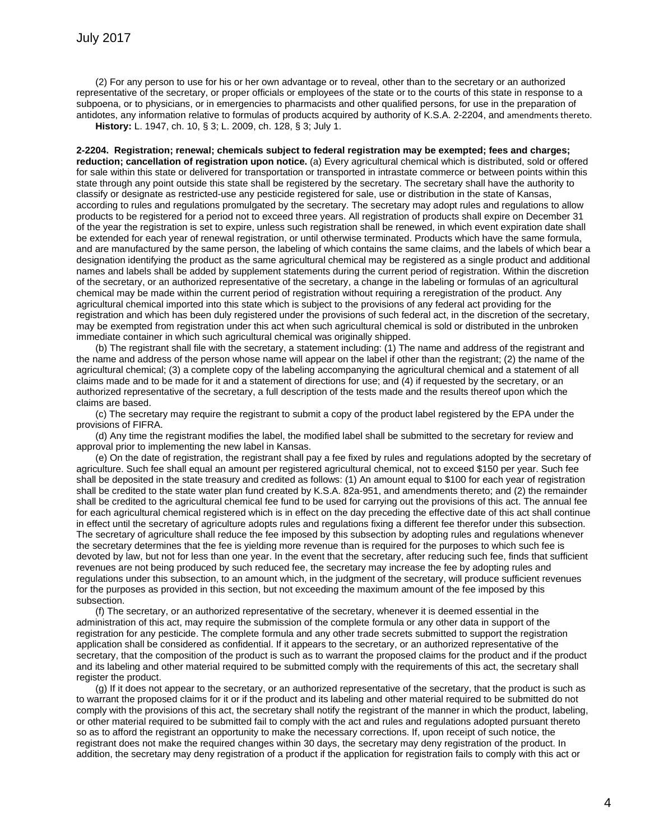(2) For any person to use for his or her own advantage or to reveal, other than to the secretary or an authorized representative of the secretary, or proper officials or employees of the state or to the courts of this state in response to a subpoena, or to physicians, or in emergencies to pharmacists and other qualified persons, for use in the preparation of antidotes, any information relative to formulas of products acquired by authority of K.S.A. 2-2204, and amendments thereto.

**History:** L. 1947, ch. 10, § 3; L. 2009, ch. 128, § 3; July 1.

**2-2204. Registration; renewal; chemicals subject to federal registration may be exempted; fees and charges; reduction; cancellation of registration upon notice.** (a) Every agricultural chemical which is distributed, sold or offered for sale within this state or delivered for transportation or transported in intrastate commerce or between points within this state through any point outside this state shall be registered by the secretary. The secretary shall have the authority to classify or designate as restricted-use any pesticide registered for sale, use or distribution in the state of Kansas, according to rules and regulations promulgated by the secretary. The secretary may adopt rules and regulations to allow products to be registered for a period not to exceed three years. All registration of products shall expire on December 31 of the year the registration is set to expire, unless such registration shall be renewed, in which event expiration date shall be extended for each year of renewal registration, or until otherwise terminated. Products which have the same formula, and are manufactured by the same person, the labeling of which contains the same claims, and the labels of which bear a designation identifying the product as the same agricultural chemical may be registered as a single product and additional names and labels shall be added by supplement statements during the current period of registration. Within the discretion of the secretary, or an authorized representative of the secretary, a change in the labeling or formulas of an agricultural chemical may be made within the current period of registration without requiring a reregistration of the product. Any agricultural chemical imported into this state which is subject to the provisions of any federal act providing for the registration and which has been duly registered under the provisions of such federal act, in the discretion of the secretary, may be exempted from registration under this act when such agricultural chemical is sold or distributed in the unbroken immediate container in which such agricultural chemical was originally shipped.

(b) The registrant shall file with the secretary, a statement including: (1) The name and address of the registrant and the name and address of the person whose name will appear on the label if other than the registrant; (2) the name of the agricultural chemical; (3) a complete copy of the labeling accompanying the agricultural chemical and a statement of all claims made and to be made for it and a statement of directions for use; and (4) if requested by the secretary, or an authorized representative of the secretary, a full description of the tests made and the results thereof upon which the claims are based.

(c) The secretary may require the registrant to submit a copy of the product label registered by the EPA under the provisions of FIFRA.

(d) Any time the registrant modifies the label, the modified label shall be submitted to the secretary for review and approval prior to implementing the new label in Kansas.

(e) On the date of registration, the registrant shall pay a fee fixed by rules and regulations adopted by the secretary of agriculture. Such fee shall equal an amount per registered agricultural chemical, not to exceed \$150 per year. Such fee shall be deposited in the state treasury and credited as follows: (1) An amount equal to \$100 for each year of registration shall be credited to the state water plan fund created by K.S.A. 82a-951, and amendments thereto; and (2) the remainder shall be credited to the agricultural chemical fee fund to be used for carrying out the provisions of this act. The annual fee for each agricultural chemical registered which is in effect on the day preceding the effective date of this act shall continue in effect until the secretary of agriculture adopts rules and regulations fixing a different fee therefor under this subsection. The secretary of agriculture shall reduce the fee imposed by this subsection by adopting rules and regulations whenever the secretary determines that the fee is yielding more revenue than is required for the purposes to which such fee is devoted by law, but not for less than one year. In the event that the secretary, after reducing such fee, finds that sufficient revenues are not being produced by such reduced fee, the secretary may increase the fee by adopting rules and regulations under this subsection, to an amount which, in the judgment of the secretary, will produce sufficient revenues for the purposes as provided in this section, but not exceeding the maximum amount of the fee imposed by this subsection.

(f) The secretary, or an authorized representative of the secretary, whenever it is deemed essential in the administration of this act, may require the submission of the complete formula or any other data in support of the registration for any pesticide. The complete formula and any other trade secrets submitted to support the registration application shall be considered as confidential. If it appears to the secretary, or an authorized representative of the secretary, that the composition of the product is such as to warrant the proposed claims for the product and if the product and its labeling and other material required to be submitted comply with the requirements of this act, the secretary shall register the product.

(g) If it does not appear to the secretary, or an authorized representative of the secretary, that the product is such as to warrant the proposed claims for it or if the product and its labeling and other material required to be submitted do not comply with the provisions of this act, the secretary shall notify the registrant of the manner in which the product, labeling, or other material required to be submitted fail to comply with the act and rules and regulations adopted pursuant thereto so as to afford the registrant an opportunity to make the necessary corrections. If, upon receipt of such notice, the registrant does not make the required changes within 30 days, the secretary may deny registration of the product. In addition, the secretary may deny registration of a product if the application for registration fails to comply with this act or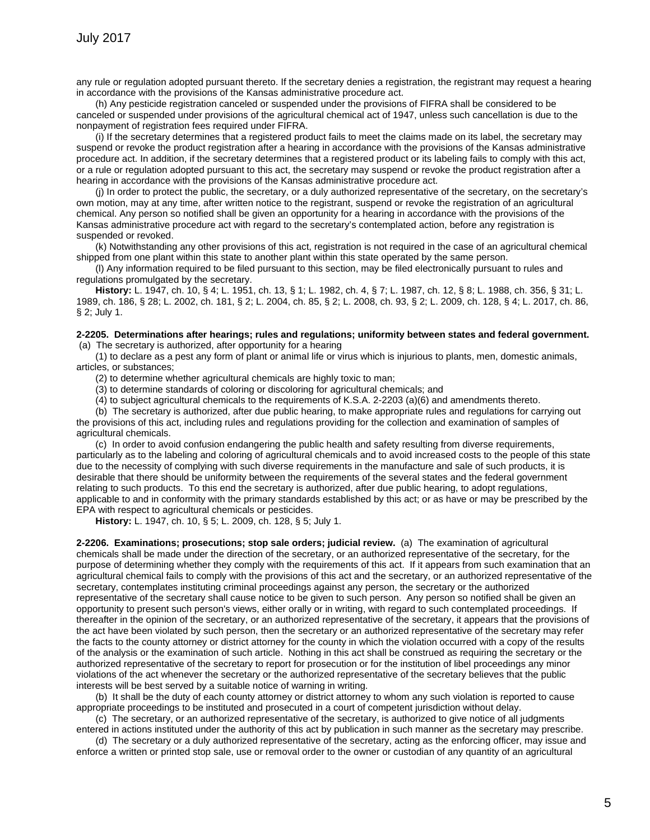any rule or regulation adopted pursuant thereto. If the secretary denies a registration, the registrant may request a hearing in accordance with the provisions of the Kansas administrative procedure act.

(h) Any pesticide registration canceled or suspended under the provisions of FIFRA shall be considered to be canceled or suspended under provisions of the agricultural chemical act of 1947, unless such cancellation is due to the nonpayment of registration fees required under FIFRA.

(i) If the secretary determines that a registered product fails to meet the claims made on its label, the secretary may suspend or revoke the product registration after a hearing in accordance with the provisions of the Kansas administrative procedure act. In addition, if the secretary determines that a registered product or its labeling fails to comply with this act, or a rule or regulation adopted pursuant to this act, the secretary may suspend or revoke the product registration after a hearing in accordance with the provisions of the Kansas administrative procedure act.

(j) In order to protect the public, the secretary, or a duly authorized representative of the secretary, on the secretary's own motion, may at any time, after written notice to the registrant, suspend or revoke the registration of an agricultural chemical. Any person so notified shall be given an opportunity for a hearing in accordance with the provisions of the Kansas administrative procedure act with regard to the secretary's contemplated action, before any registration is suspended or revoked.

(k) Notwithstanding any other provisions of this act, registration is not required in the case of an agricultural chemical shipped from one plant within this state to another plant within this state operated by the same person.

(l) Any information required to be filed pursuant to this section, may be filed electronically pursuant to rules and regulations promulgated by the secretary.

**History:** L. 1947, ch. 10, § 4; L. 1951, ch. 13, § 1; L. 1982, ch. 4, § 7; L. 1987, ch. 12, § 8; L. 1988, ch. 356, § 31; L. 1989, ch. 186, § 28; L. 2002, ch. 181, § 2; L. 2004, ch. 85, § 2; L. 2008, ch. 93, § 2; L. 2009, ch. 128, § 4; L. 2017, ch. 86, § 2; July 1.

## **2-2205. Determinations after hearings; rules and regulations; uniformity between states and federal government.**  (a) The secretary is authorized, after opportunity for a hearing

(1) to declare as a pest any form of plant or animal life or virus which is injurious to plants, men, domestic animals, articles, or substances;

(2) to determine whether agricultural chemicals are highly toxic to man;

(3) to determine standards of coloring or discoloring for agricultural chemicals; and

(4) to subject agricultural chemicals to the requirements of K.S.A. 2-2203 (a)(6) and amendments thereto.

(b) The secretary is authorized, after due public hearing, to make appropriate rules and regulations for carrying out the provisions of this act, including rules and regulations providing for the collection and examination of samples of agricultural chemicals.

(c) In order to avoid confusion endangering the public health and safety resulting from diverse requirements, particularly as to the labeling and coloring of agricultural chemicals and to avoid increased costs to the people of this state due to the necessity of complying with such diverse requirements in the manufacture and sale of such products, it is desirable that there should be uniformity between the requirements of the several states and the federal government relating to such products. To this end the secretary is authorized, after due public hearing, to adopt regulations, applicable to and in conformity with the primary standards established by this act; or as have or may be prescribed by the EPA with respect to agricultural chemicals or pesticides.

**History:** L. 1947, ch. 10, § 5; L. 2009, ch. 128, § 5; July 1.

**2-2206. Examinations; prosecutions; stop sale orders; judicial review.** (a) The examination of agricultural chemicals shall be made under the direction of the secretary, or an authorized representative of the secretary, for the purpose of determining whether they comply with the requirements of this act. If it appears from such examination that an agricultural chemical fails to comply with the provisions of this act and the secretary, or an authorized representative of the secretary, contemplates instituting criminal proceedings against any person, the secretary or the authorized representative of the secretary shall cause notice to be given to such person. Any person so notified shall be given an opportunity to present such person's views, either orally or in writing, with regard to such contemplated proceedings. If thereafter in the opinion of the secretary, or an authorized representative of the secretary, it appears that the provisions of the act have been violated by such person, then the secretary or an authorized representative of the secretary may refer the facts to the county attorney or district attorney for the county in which the violation occurred with a copy of the results of the analysis or the examination of such article. Nothing in this act shall be construed as requiring the secretary or the authorized representative of the secretary to report for prosecution or for the institution of libel proceedings any minor violations of the act whenever the secretary or the authorized representative of the secretary believes that the public interests will be best served by a suitable notice of warning in writing.

(b) It shall be the duty of each county attorney or district attorney to whom any such violation is reported to cause appropriate proceedings to be instituted and prosecuted in a court of competent jurisdiction without delay.

(c) The secretary, or an authorized representative of the secretary, is authorized to give notice of all judgments entered in actions instituted under the authority of this act by publication in such manner as the secretary may prescribe.

(d) The secretary or a duly authorized representative of the secretary, acting as the enforcing officer, may issue and enforce a written or printed stop sale, use or removal order to the owner or custodian of any quantity of an agricultural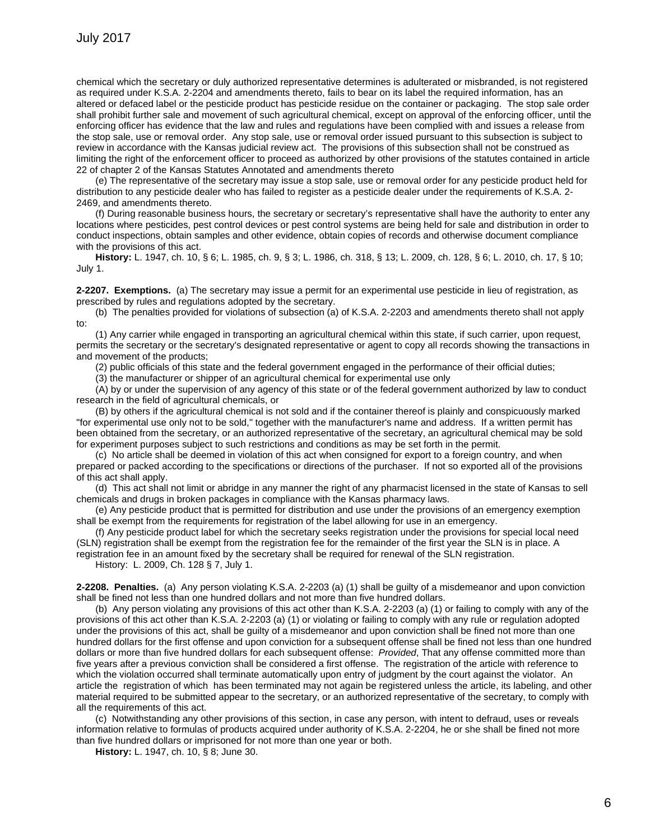chemical which the secretary or duly authorized representative determines is adulterated or misbranded, is not registered as required under K.S.A. 2-2204 and amendments thereto, fails to bear on its label the required information, has an altered or defaced label or the pesticide product has pesticide residue on the container or packaging. The stop sale order shall prohibit further sale and movement of such agricultural chemical, except on approval of the enforcing officer, until the enforcing officer has evidence that the law and rules and regulations have been complied with and issues a release from the stop sale, use or removal order. Any stop sale, use or removal order issued pursuant to this subsection is subject to review in accordance with the Kansas judicial review act. The provisions of this subsection shall not be construed as limiting the right of the enforcement officer to proceed as authorized by other provisions of the statutes contained in article 22 of chapter 2 of the Kansas Statutes Annotated and amendments thereto

(e) The representative of the secretary may issue a stop sale, use or removal order for any pesticide product held for distribution to any pesticide dealer who has failed to register as a pesticide dealer under the requirements of K.S.A. 2- 2469, and amendments thereto.

(f) During reasonable business hours, the secretary or secretary's representative shall have the authority to enter any locations where pesticides, pest control devices or pest control systems are being held for sale and distribution in order to conduct inspections, obtain samples and other evidence, obtain copies of records and otherwise document compliance with the provisions of this act.

**History:** L. 1947, ch. 10, § 6; L. 1985, ch. 9, § 3; L. 1986, ch. 318, § 13; L. 2009, ch. 128, § 6; L. 2010, ch. 17, § 10; July 1.

**2-2207. Exemptions.** (a) The secretary may issue a permit for an experimental use pesticide in lieu of registration, as prescribed by rules and regulations adopted by the secretary.

(b) The penalties provided for violations of subsection (a) of K.S.A. 2-2203 and amendments thereto shall not apply to:

(1) Any carrier while engaged in transporting an agricultural chemical within this state, if such carrier, upon request, permits the secretary or the secretary's designated representative or agent to copy all records showing the transactions in and movement of the products;

(2) public officials of this state and the federal government engaged in the performance of their official duties;

(3) the manufacturer or shipper of an agricultural chemical for experimental use only

(A) by or under the supervision of any agency of this state or of the federal government authorized by law to conduct research in the field of agricultural chemicals, or

(B) by others if the agricultural chemical is not sold and if the container thereof is plainly and conspicuously marked "for experimental use only not to be sold," together with the manufacturer's name and address. If a written permit has been obtained from the secretary, or an authorized representative of the secretary, an agricultural chemical may be sold for experiment purposes subject to such restrictions and conditions as may be set forth in the permit.

(c) No article shall be deemed in violation of this act when consigned for export to a foreign country, and when prepared or packed according to the specifications or directions of the purchaser. If not so exported all of the provisions of this act shall apply.

(d) This act shall not limit or abridge in any manner the right of any pharmacist licensed in the state of Kansas to sell chemicals and drugs in broken packages in compliance with the Kansas pharmacy laws.

(e) Any pesticide product that is permitted for distribution and use under the provisions of an emergency exemption shall be exempt from the requirements for registration of the label allowing for use in an emergency.

(f) Any pesticide product label for which the secretary seeks registration under the provisions for special local need (SLN) registration shall be exempt from the registration fee for the remainder of the first year the SLN is in place. A registration fee in an amount fixed by the secretary shall be required for renewal of the SLN registration.

History: L. 2009, Ch. 128 § 7, July 1.

**2-2208. Penalties.** (a) Any person violating K.S.A. 2-2203 (a) (1) shall be guilty of a misdemeanor and upon conviction shall be fined not less than one hundred dollars and not more than five hundred dollars.

(b) Any person violating any provisions of this act other than K.S.A. 2-2203 (a) (1) or failing to comply with any of the provisions of this act other than K.S.A. 2-2203 (a) (1) or violating or failing to comply with any rule or regulation adopted under the provisions of this act, shall be guilty of a misdemeanor and upon conviction shall be fined not more than one hundred dollars for the first offense and upon conviction for a subsequent offense shall be fined not less than one hundred dollars or more than five hundred dollars for each subsequent offense: *Provided*, That any offense committed more than five years after a previous conviction shall be considered a first offense. The registration of the article with reference to which the violation occurred shall terminate automatically upon entry of judgment by the court against the violator. An article the registration of which has been terminated may not again be registered unless the article, its labeling, and other material required to be submitted appear to the secretary, or an authorized representative of the secretary, to comply with all the requirements of this act.

(c) Notwithstanding any other provisions of this section, in case any person, with intent to defraud, uses or reveals information relative to formulas of products acquired under authority of K.S.A. 2-2204, he or she shall be fined not more than five hundred dollars or imprisoned for not more than one year or both.

**History:** L. 1947, ch. 10, § 8; June 30.